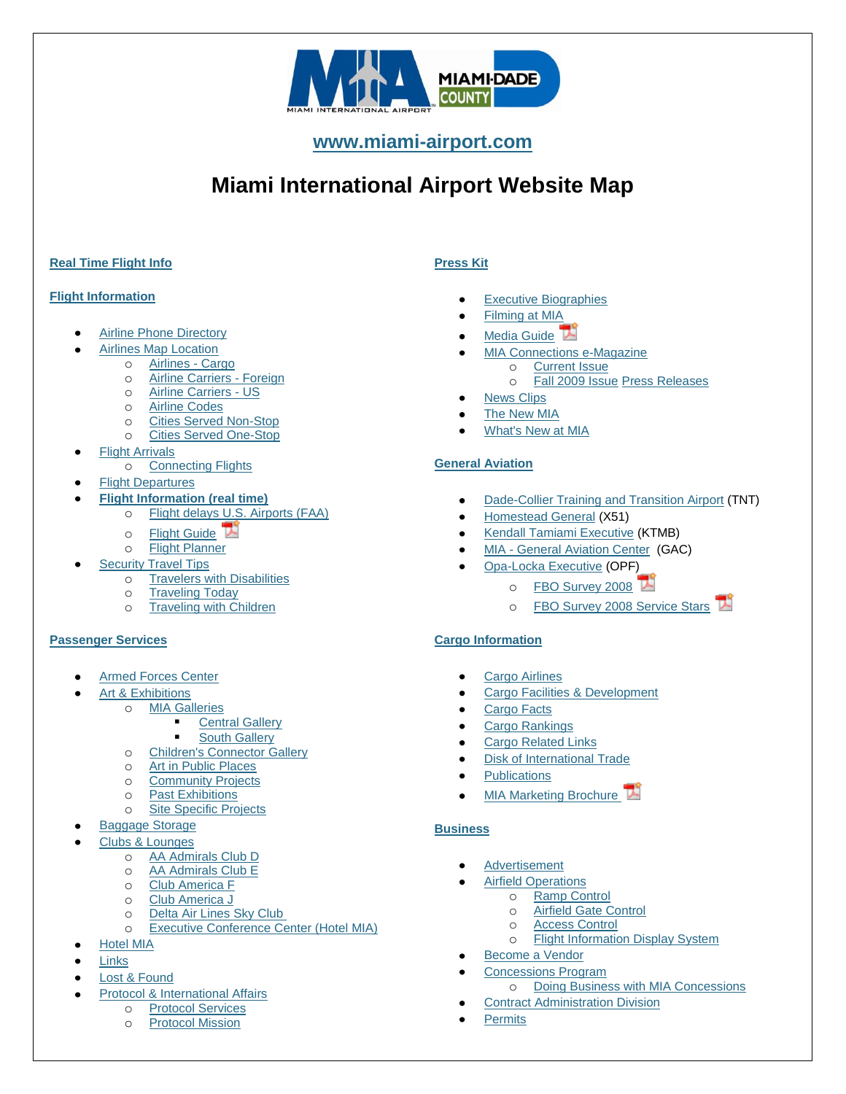

**[www.miami-airport.com](http://www.miami-airport.com/)**

# **Miami International Airport Website Map**

# **[Real Time Flight Info](http://webvids.miami-airport.com/webfids/)**

## **[Flight Information](http://www.miami-airport.com/airline_information.asp)**

- [Airline Phone Directory](http://www.miami-airport.com/airline_information.asp)
- [Airlines Map Location](http://www.miami-airport.com/where_to_park.asp)
	- o [Airlines -](http://www.miami-airport.com/cargo_airlines.asp) Cargo
	- o [Airline Carriers -](http://www.miami-airport.com/airline_carrier_foreign.asp) Foreign
	- o [Airline Carriers -](http://www.miami-airport.com/airline_carrier_us.asp) US
	- o [Airline Codes](http://www.miami-airport.com/airline_code.asp)
		- o [Cities Served Non-Stop](http://www.miami-airport.com/cities_served_nonstop.asp)
		- o [Cities Served One-Stop](http://www.miami-airport.com/cities_served_onestop.asp)
	- **[Flight Arrivals](http://www.miami-airport.com/arrivals.asp)** 
		- o [Connecting Flights](http://www.miami-airport.com/traveling_today.asp#connect)
- [Flight Departures](http://www.miami-airport.com/departures.asp)
- **[Flight Information \(real time\)](http://webvids.miami-airport.com/webfids/)**
	- o [Flight delays U.S. Airports \(FAA\)](http://www.fly.faa.gov/flyfaa/usmap.jsp)
		- $\circ$  [Flight Guide](http://www.miami-airport.com/pdfdoc/FlightGuide.pdf)
		- o [Flight Planner](http://timetables.oag.com/mia/)
	- [Security Travel Tips](http://www.miami-airport.com/security_travel_tips.asp)
		- o [Travelers with Disabilities](http://www.miami-airport.com/disabled_passenger.asp)
		- o [Traveling Today](http://www.miami-airport.com/traveling_today.asp)
		- o [Traveling with Children](http://www.miami-airport.com/traveling_with_children.asp)

## **[Passenger Services](http://www.miami-airport.com/services_and_amenities.asp)**

- [Armed Forces Center](http://www.miami-airport.com/armed_forces.asp)
- [Art & Exhibitions](http://www.miami-airport.com/art_and_exhibitions.asp)
	- o [MIA Galleries](http://www.miami-airport.com/mia_galleries.asp)
		- [Central Gallery](http://www.miami-airport.com/central_terminal.asp)
			- [South Gallery](http://www.miami-airport.com/south_terminal.asp)
	- o [Children's Connector Gallery](http://www.miami-airport.com/childrens_connector.asp)
	- o [Art in Public Places](http://www.miami-airport.com/public_art.asp)
	- o [Community Projects](http://www.miami-airport.com/community_projects.asp)
	- o [Past Exhibitions](http://www.miami-airport.com/past_exhibitions.asp)
	- o [Site Specific Projects](http://www.miami-airport.com/site_specific.asp)
- [Baggage Storage](http://www.miami-airport.com/baggage_storage.asp)
- [Clubs & Lounges](http://www.miami-airport.com/vip_clubs_and_lounges.asp)
	- o [AA Admirals Club D](http://www.miami-airport.com/admirals_club.asp)
	- o [AA Admirals Club E](http://www.miami-airport.com/aa_admirals_club.asp)
	- o [Club America F](http://www.miami-airport.com/club_america_f.asp)
	- o [Club America J](http://www.miami-airport.com/club_america_j.asp)
	- o [Delta Air Lines Sky Club](http://www.miami-airport.com/delta_sky_club.asp)
	- o [Executive Conference Center \(Hotel MIA\)](http://www.miami-airport.com/conf_center.asp)
- [Hotel MIA](http://www.miahotel.com/)
- **[Links](http://www.miami-airport.com/links.asp)**
- [Lost & Found](http://www.miami-airport.com/lost_and_found.asp)
- [Protocol & International Affairs](http://www.miami-airport.com/protocol_international_affairs.asp)
	- o [Protocol Services](http://www.miami-airport.com/protocol_international_affairs.asp)
	- o [Protocol Mission](http://www.miami-airport.com/protocol_services.asp)

# **[Press Kit](http://www.miami-airport.com/online_press_kit.asp)**

- [Executive Biographies](http://www.miami-airport.com/executive_biographies.asp)
- [Filming at](http://www.miami-airport.com/filming.asp) MIA
- [Media Guide](http://www.miami-airport.com/pdfdoc/MIA2005MediaGuide%20.pdf)<sup></sup>
- [MIA Connections](http://www.miami-airport.com/mia_connections.asp) e-Magazine
	- o [Current Issue](http://www.miami-airport.com/mia_connections.asp)
		- o [Fall 2009 Issue](http://www.miami-airport.com/mia_connections_fall_2009.asp) [Press Releases](http://www.miami-airport.com/pr_index.asp?year=2010&web=airport)
- [News Clips](http://www.miami-airport.com/news_clips.asp)
- [The New MIA](http://www.miami-airport.com/capital_improvement.asp)
- [What's New at MIA](http://www.miami-airport.com/whats_new.asp)

# **[General Aviation](http://www.miami-airport.com/general_aviation.asp)**

- [Dade-Collier Training and Transition Airport](http://www.miami-airport.com/dade_collier.asp) (TNT)  $\bullet$
- [Homestead General](http://www.miami-airport.com/homestead.asp) (X51)
- [Kendall Tamiami Executive](http://www.miami-airport.com/kendall_tamiami.asp) (KTMB)
- MIA [General Aviation Center](http://www.miami-airport.com/mia_airport.asp) (GAC)
	- [Opa-Locka Executive](http://www.miami-airport.com/opalocka.asp) (OPF)
		- o [FBO Survey 2008](http://www.miami-airport.com/pdfdoc/FBO_Insert_08.pdf)
		- o [FBO Survey 2008 Service Stars](http://www.miami-airport.com/pdfdoc/FBOSurvey08b.pdf)

# **[Cargo Information](http://www.miami-airport.com/cargo.asp)**

- [Cargo Airlines](http://www.miami-airport.com/cargo_airlines.asp)
- [Cargo Facilities & Development](http://www.miami-airport.com/facilities_development.asp)
- [Cargo Facts](http://www.miami-airport.com/cargo_facts.asp)
- [Cargo Rankings](http://www.miami-airport.com/cargo_rankings.asp)
- [Cargo Related Links](http://www.miami-airport.com/cargo_related_links.asp)
- [Disk of International Trade](http://www.miami-airport.com/disk_international_trade.asp)
- [Publications](http://www.miami-airport.com/cargo_publications.asp)
- [MIA Marketing Brochure](http://www.miami-airport.com/library/09-10-MIA_Passenger_Services_brochure.pdf)

# **[Business](http://www.miami-airport.com/business_operations.asp)**

- [Advertisement](http://www.miami-airport.com/business_advertisements.asp)
- [Airfield Operations](http://www.miami-airport.com/business_operating.asp)
	- o [Ramp Control](http://www.miami-airport.com/ramp_control.asp)
		- o [Airfield Gate Control](http://www.miami-airport.com/gate_control.asp)
	- o [Access Control](http://www.miami-airport.com/access_control.asp)
	- o [Flight Information Display System](http://www.miami-airport.com/flight_information_display.asp)
- [Become a Vendor](http://www.miami-airport.com/https:/services.miamidade.gov/DPM/enroll.aspx)
- [Concessions Program](http://www.miami-airport.com/concessions_program.asp)
	- o [Doing Business with MIA Concessions](http://www.miami-airport.com/business_mia_concessions.asp)
- [Contract Administration Division](http://www.miami-airport.com/contracts_division.asp)
- **[Permits](http://www.miami-airport.com/business_permits.asp)**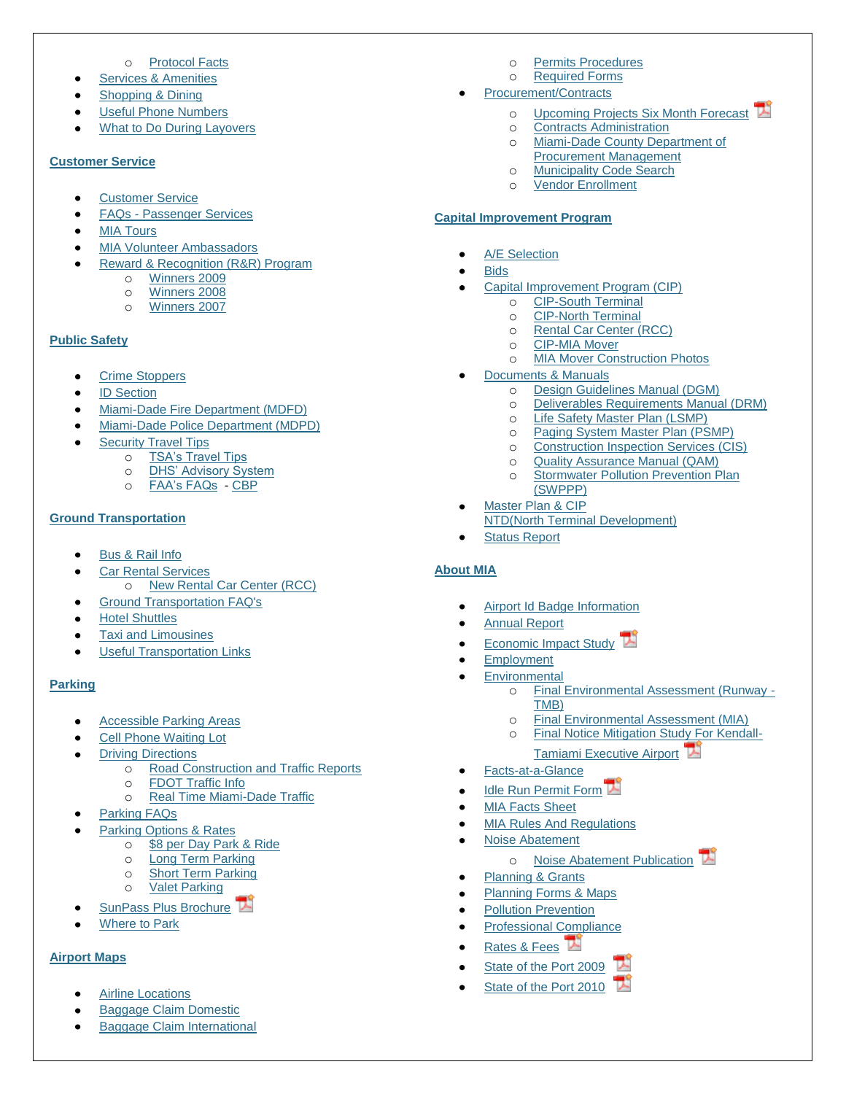#### o [Protocol Facts](http://www.miami-airport.com/protocol_facts.asp)

- [Services & Amenities](http://www.miami-airport.com/services_and_amenities.asp)  $\bullet$
- [Shopping & Dining](http://www.miami-airport.com/shopping_map.asp)
- [Useful Phone Numbers](http://www.miami-airport.com/phone_numbers.asp)
- [What to Do During Layovers](http://www.miami-airport.com/what_to_do_during_layovers.asp)

#### **[Customer Service](http://www.miami-airport.com/customer_service.asp)**

- [Customer Service](http://www.miami-airport.com/customer_service.asp)
- FAQs [Passenger Services](http://www.miami-airport.com/faqs.asp)
- [MIA Tours](http://www.miami-airport.com/tours.asp)
- [MIA Volunteer Ambassadors](http://www.miami-airport.com/volunteer_program.asp)
- [Reward & Recognition \(R&R\) Program](http://www.miami-airport.com/rr.asp)
	- o [Winners 2009](http://www.miami-airport.com/2009_winners.asp)
	- o [Winners 2008](http://www.miami-airport.com/2008_winners.asp)
	- o [Winners](http://www.miami-airport.com/2007_winners.asp) 2007

#### **[Public Safety](http://www.miami-airport.com/airport_security.asp)**

- [Crime Stoppers](http://www.miami-airport.com/crime_stoppers.asp)
- [ID Section](http://www.miami-airport.com/id_badging_info.asp)
- [Miami-Dade Fire Department \(MDFD\)](http://www.miami-airport.com/airport_fire.asp)
- [Miami-Dade Police Department \(MDPD\)](http://www.miami-airport.com/airport_police.asp)
- [Security Travel Tips](http://www.miami-airport.com/security_travel_tips.asp)
	- o [TSA's Travel Tips](http://www.tsa.gov/)
	- o [DHS' Advisory System](http://www.dhs.gov/xinfoshare/programs/)
	- o [FAA's FAQs](http://www.faa.gov/about/office_org/headquarters_offices/ato/service_units/acquisition/bits/faq/) [CBP](http://www.miami-airport.com/www.cbp.gov)

## **[Ground Transportation](http://www.miami-airport.com/bus_and_rail_info.asp)**

- [Bus & Rail Info](http://www.miami-airport.com/bus_and_rail_info.asp)
	- [Car Rental Services](http://www.miami-airport.com/car_rental.asp) o [New Rental Car Center \(RCC\)](http://www.miami-airport.com/cip_rcc.asp)
- [Ground Transportation FAQ's](http://www.miami-airport.com/faqs.asp#ground)
- [Hotel Shuttles](http://www.miami-airport.com/hotel_shuttles.asp)
- [Taxi and Limousines](http://www.miami-airport.com/taxi_shuttle_limos.asp)
- [Useful Transportation Links](http://www.miami-airport.com/useful_trans_links.asp)

## **[Parking](http://www.miami-airport.com/parking_rates.asp)**

- [Accessible Parking Areas](http://www.miami-airport.com/access_parking_areas.asp)
- [Cell Phone Waiting Lot](http://www.miami-airport.com/cell_phone_parking.asp)
- [Driving Directions](http://www.miami-airport.com/driving_directions.asp)
	- o [Road Construction and Traffic Reports](http://www.miami-airport.com/html/traffic_report.html)
	- o [FDOT Traffic Info](http://www.micdot.com/)
	- o [Real Time Miami-Dade Traffic](http://www.smartraveler.com/scripts/miamidademap.asp?city=sfl&cityname=South+Florida)
- [Parking FAQs](http://www.miami-airport.com/faqs.asp)
- Parking [Options & Rates](http://www.miami-airport.com/parking_rates.asp)
	- o [\\$8 per Day Park & Ride](http://www.miami-airport.com/parking_rates.asp#ride)
	- o [Long Term Parking](http://www.miami-airport.com/parking_rates.asp#long)
	- o [Short Term Parking](http://www.miami-airport.com/parking_rates.asp#short) o [Valet Parking](http://www.miami-airport.com/parking_rates.asp#valet)
	-
- [SunPass Plus Brochure](http://www.miami-airport.com/pdfdoc/MIA-Sunpass-Plus-brochure.pdf)
- [Where to Park](http://www.miami-airport.com/where_to_park.asp)

# **[Airport Maps](http://www.miami-airport.com/terminal_gates.asp)**

- [Airline Locations](http://www.miami-airport.com/where_to_park.asp)
- [Baggage Claim Domestic](http://www.miami-airport.com/baggage_domestic.asp)
- [Baggage Claim International](http://www.miami-airport.com/baggage_international.asp)
- o [Permits Procedures](http://www.miami-airport.com/business_permits2.asp)
- o [Required Forms](http://www.miami-airport.com/permits_required_forms.asp)
- [Procurement/Contracts](http://www.miami-airport.com/procurement_contract.asp)
	- o [Upcoming Projects Six Month Forecast](http://www.miami-airport.com/pdfdoc/upae.pdf)
	- o [Contracts Administration](http://www.miami-airport.com/contracts_division.asp)
	- o [Miami-Dade County Department of](http://www.miamidade.gov/dpm/)  [Procurement Management](http://www.miamidade.gov/dpm/)
	- o [Municipality Code Search](http://library7.municode.com/default-test/home.htm?infobase=10620&doc_action=whatsnew)
	- o [Vendor Enrollment](https://services.miamidade.gov/DPM/enroll.aspx)

## **[Capital Improvement Program](http://www.miami-airport.com/capital_improvement.asp)**

- [A/E Selection](http://www.miami-airport.com/ae_selection.asp)
- **[Bids](http://www.miami-airport.com/bids.asp)** 
	- [Capital Improvement Program \(CIP\)](http://www.miami-airport.com/capital_improvement.asp)
		- o [CIP-South Terminal](http://www.miami-airport.com/cip_south_terminal.asp)
		- o [CIP-North Terminal](http://www.miami-airport.com/cip_north_terminal.asp)
		- o [Rental Car Center \(RCC\)](http://www.miami-airport.com/cip_rcc.asp)
		- o [CIP-MIA Mover](http://www.miami-airport.com/cip_mia_mover.asp)
		- o [MIA Mover Construction Photos](http://www.miami-airport.com/cip_mia_mover_pictures.asp)
- [Documents & Manuals](http://www.miami-airport.com/docs_and_manuals.asp)
	- o [Design Guidelines Manual \(DGM\)](http://www.miami-airport.com/design_guidelines.asp)
	- o [Deliverables Requirements Manual \(DRM\)](http://www.miami-airport.com/deliverables_requirements.asp)
	- o [Life Safety Master Plan \(LSMP\)](http://www.miami-airport.com/life_safety_master_plan.asp)
	- o [Paging System Master Plan \(PSMP\)](http://www.miami-airport.com/paging_system_master_plan.asp)
	- o [Construction Inspection Services \(CIS\)](http://www.miami-airport.com/construction_inspection_services.asp)
	- o [Quality Assurance Manual \(QAM\)](http://www.miami-airport.com/quality_assuarance_manual.asp)
	- o [Stormwater Pollution Prevention Plan](http://www.miami-airport.com/stormwater_pollution_prevention_plan.asp)  [\(SWPPP\)](http://www.miami-airport.com/stormwater_pollution_prevention_plan.asp)
- [Master Plan & CIP](http://www.miami-airport.com/master_plan.asp)  $\bullet$
- [NTD\(North Terminal Development\)](http://www.miami-airport.com/north_terminal_development_program.asp)
- [Status Report](http://www.miami-airport.com/status_report.asp)

# **[About MIA](http://www.miami-airport.com/about_us.asp)**

- [Airport Id Badge Information](http://www.miami-airport.com/id_badging_info.asp)
- [Annual Report](http://www.miami-airport.com/annual_report.asp)
- [Economic Impact Study](http://www.miami-airport.com/pdfdoc/MDAD_Economic_Impact_Brochure2009.pdf)
- [Employment](http://www.miamidade.gov/hr/jobs_welcome.asp)
- **[Environmental](http://www.miami-airport.com/environmental.asp)** 
	- o [Final Environmental Assessment \(Runway -](http://www.miami-airport.com/runway_assessment.asp) [TMB\)](http://www.miami-airport.com/runway_assessment.asp)
	- o [Final Environmental Assessment \(MIA\)](http://www.miami-airport.com/mia_assessment.asp)
	- o [Final Notice Mitigation Study For Kendall-](http://www.miami-airport.com/pdfdoc/Final_TMB_Noise_Study.pdf)[Tamiami Executive Airport](http://www.miami-airport.com/pdfdoc/Final_TMB_Noise_Study.pdf)
	- [Facts-at-a-Glance](http://www.miami-airport.com/facts.asp)
- [Idle Run Permit Form](http://www.miami-airport.com/pdfdoc/Idle_Run_Permit_package.pdf)
- [MIA Facts Sheet](http://www.miami-airport.com/mia_facts.asp)
- [MIA Rules And Regulations](http://www.miami-airport.com/rules_and_regulations.asp)
- [Noise Abatement](http://www.miami-airport.com/noise_abatement.asp)
	- o [Noise Abatement Publication](http://www.miami-airport.com/pdfdoc/noisepub.pdf)
- [Planning & Grants](http://www.miami-airport.com/planning_forms_maps.asp)
- [Planning Forms & Maps](http://www.miami-airport.com/planning_forms_maps.asp)
- [Pollution Prevention](http://www.miami-airport.com/env_pollution_prevention.asp)
- [Professional Compliance](http://www.miami-airport.com/compliance_division.asp)
- [Rates & Fees](http://www.miami-airport.com/pdfdoc/FY_10_Rates_Fees_and_Charges_Book.pdf)
- [State of the Port 2009](http://www.miami-airport.com/pdfdoc/State_of_Port_2009.pdf)
- State of the Port 2010